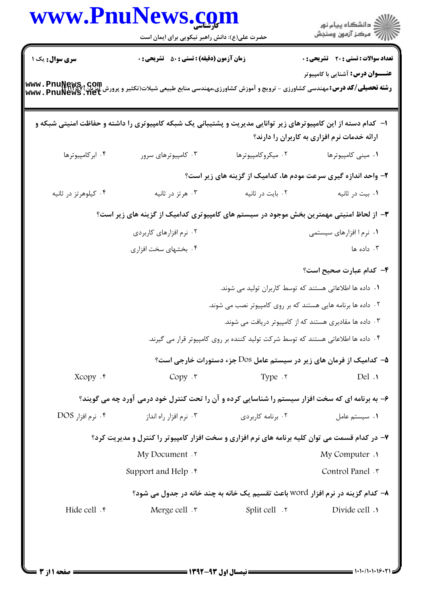|                      | حضرت علی(ع): دانش راهبر نیکویی برای ایمان است                                                                                                           |                                                           | ر<br>دانشڪاه پيام نور)<br>اڳ مرڪز آزمون وسنڊش                                     |  |  |
|----------------------|---------------------------------------------------------------------------------------------------------------------------------------------------------|-----------------------------------------------------------|-----------------------------------------------------------------------------------|--|--|
| سری سوال: یک ۱       | <b>زمان آزمون (دقیقه) : تستی : 50 ٪ تشریحی : 0</b>                                                                                                      |                                                           | تعداد سوالات : تستي : 20 - تشريحي : 0                                             |  |  |
|                      |                                                                                                                                                         |                                                           | <b>عنـــوان درس:</b> آشنایی با کامپیوتر                                           |  |  |
|                      | <b>رشته تحصیلی/کد درس:</b> مهندسی کشاورزی - ترویج و آموزش کشاورزی،مهندسی منابع طبیعی شیلات(تکثیر و پرورش آیزین) www. PnuŊewS, Com<br>Www. PnuNews . Net |                                                           |                                                                                   |  |  |
|                      | ا– کدام دسته از این کامپیوترهای زیر توانایی مدیریت و پشتیبانی یک شبکه کامپیوتری را داشته و حفاظت امنیتی شبکه و                                          |                                                           |                                                                                   |  |  |
|                      |                                                                                                                                                         |                                                           | ارائه خدمات نرم افزاری به کاربران را دارند؟                                       |  |  |
| ۰۴ ابر کامپیوترها    | ۰۳ کامپیوترهای سرور                                                                                                                                     | ۰۲ میکروکامپیوترها                                        | ۰۱ مینی کامپیوترها                                                                |  |  |
|                      |                                                                                                                                                         |                                                           | ۲- واحد اندازه گیری سرعت مودم ها، کدامیک از گزینه های زیر است؟                    |  |  |
| ۰۴ کیلوهرتز در ثانیه | ۰۳ هرتز در ثانیه                                                                                                                                        | ۰۲ بایت در ثانیه                                          | ۰۱ بيت در ثانيه                                                                   |  |  |
|                      | ۳- از لحاظ امنیتی مهمترین بخش موجود در سیستم های کامپیوتری کدامیک از گزینه های زیر است؟                                                                 |                                                           |                                                                                   |  |  |
|                      | ۰۲ نرم افزارهای کاربردی                                                                                                                                 |                                                           | ۰۱ نرم ۱ افزارهای سیستمی                                                          |  |  |
|                      | ۰۴ بخشهای سخت افزاری                                                                                                                                    |                                                           | ۰۳ داده ها                                                                        |  |  |
|                      |                                                                                                                                                         |                                                           | ۴– کدام عبارت صحیح است؟                                                           |  |  |
|                      |                                                                                                                                                         | ۱.  داده ها اطلاعاتی هستند که توسط کاربران تولید می شوند. |                                                                                   |  |  |
|                      | ۰۲ داده ها برنامه هایی هستند که بر روی کامپیوتر نصب می شوند.                                                                                            |                                                           |                                                                                   |  |  |
|                      |                                                                                                                                                         |                                                           | ۰۳ داده ها مقادیری هستند که از کامپیوتر دریافت می شوند.                           |  |  |
|                      |                                                                                                                                                         |                                                           | ۰۴ داده ها اطلاعاتی هستند که توسط شرکت تولید کننده بر روی کامپیوتر قرار می گیرند. |  |  |
|                      |                                                                                                                                                         |                                                           | ۵− کدامیک از فرمان های زیر در سیستم عامل Dos جزء دستورات خارجی است؟               |  |  |
| Xcopy . r            | Copy .r                                                                                                                                                 | Type . ٢                                                  | Del.1                                                                             |  |  |
|                      | ۶- به برنامه ای که سخت افزار سیستم را شناسایی کرده و آن را تحت کنترل خود درمی آورد چه می گویند؟                                                         |                                                           |                                                                                   |  |  |
| ۰۴ نرم افزار DOS     | ۰۳ نرم افزار راه انداز                                                                                                                                  | ۰۲ برنامه کاربردی                                         | ٠١. سيستم عامل                                                                    |  |  |
|                      | ۷- در کدام قسمت می توان کلیه برنامه های نرم افزاری و سخت افزار کامپیوتر را کنترل و مدیریت کرد؟                                                          |                                                           |                                                                                   |  |  |
|                      | My Document .                                                                                                                                           |                                                           | <b>My Computer</b> .                                                              |  |  |
|                      | Support and Help . $\mathfrak k$                                                                                                                        |                                                           | Control Panel . ٣                                                                 |  |  |
|                      |                                                                                                                                                         |                                                           | ٨- كدام گزينه در نرم افزار word باعث تقسيم يک خانه به چند خانه در جدول مي شود؟    |  |  |
|                      | Merge cell .r                                                                                                                                           | $Split$ $\cdot$ $\cdot$                                   | Divide cell .                                                                     |  |  |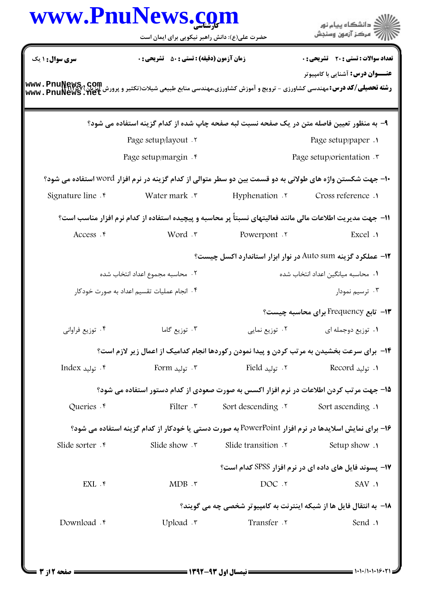|                                            | حضرت علی(ع): دانش راهبر نیکویی برای ایمان است                                                                                                 |                                | الاد دانشگاه پيام نور<br>الا مرکز آزمون وسنجش                        |  |
|--------------------------------------------|-----------------------------------------------------------------------------------------------------------------------------------------------|--------------------------------|----------------------------------------------------------------------|--|
| سری سوال : ۱ یک                            | زمان آزمون (دقیقه) : تستی : 50 ٪ تشریحی : 0                                                                                                   |                                | تعداد سوالات : تستي : 20 - تشريحي : 0                                |  |
|                                            | <b>رشته تحصیلی/کد درس: مهندسی کشاورزی - ترویج و آموزش کشاورزی،مهندسی منابع طبیعی شیلات(تکثیر و پرورش Cytilet Sept<br/>www . PnuNews . net</b> |                                | <b>عنـــوان درس:</b> آشنایی با کامپیوتر                              |  |
|                                            | ۹– به منظور تعیین فاصله متن در یک صفحه نسبت لبه صفحه چاپ شده از کدام گزینه استفاده می شود؟                                                    |                                |                                                                      |  |
|                                            | Page setup/layout . ٢                                                                                                                         |                                | Page setup/paper .                                                   |  |
|                                            | Page setup/margin . f                                                                                                                         |                                | Page setup/orientation . ۳                                           |  |
|                                            | +ا– جهت شکستن واژه های طولانی به دو قسمت بین دو سطر متوالی از کدام گزینه در نرم افزار WOrd استفاده می شود؟                                    |                                |                                                                      |  |
| Signature line .*                          | Water mark .r                                                                                                                                 | Hyphenation .                  | Cross reference.                                                     |  |
|                                            | 1۱– جهت مدیریت اطلاعات مالی مانند فعالیتهای نسبتاً پر محاسبه و پیچیده استفاده از کدام نرم افزار مناسب است؟                                    |                                |                                                                      |  |
| Access . ۴                                 | Word ۲                                                                                                                                        | Powerpont .r                   | Excel .                                                              |  |
|                                            |                                                                                                                                               |                                | <b>۱۲</b> - عملکرد گزینه Auto sum در نوار ابزار استاندارد اکسل چیست؟ |  |
|                                            | ٠٢ محاسبه مجموع اعداد انتخاب شده                                                                                                              |                                | ٠١. محاسبه ميانگين اعداد انتخاب شده                                  |  |
| ۰۴ انجام عملیات تقسیم اعداد به صورت خودکار |                                                                                                                                               |                                | ۰۳ ترسیم نمودار                                                      |  |
|                                            |                                                                                                                                               |                                | ۱۳- تابع Frequency برای محاسبه چیست؟                                 |  |
| ۰۴ توزیع فراوانی                           | ۰۳ توزیع گاما                                                                                                                                 | ۰ <sup>۲</sup> توزیع نمایی     | ۰۱ توزیع دوجمله ای                                                   |  |
|                                            | ۱۴- برای سرعت بخشیدن به مرتب کردن و پیدا نمودن رکوردها انجام کدامیک از اعمال زیر لازم است؟                                                    |                                |                                                                      |  |
| ۰۴ تولید Index                             | $\text{Form}$ تولید $\cdot$                                                                                                                   |                                |                                                                      |  |
|                                            | ۱۵– جهت مرتب کردن اطلاعات در نرم افزار اکسس به صورت صعودی از کدام دستور استفاده می شود؟                                                       |                                |                                                                      |  |
| Queries . r                                |                                                                                                                                               | Filter . T Sort descending . T | Sort ascending .                                                     |  |
|                                            | ۱۶- برای نمایش اسلایدها در نرم افزار PowerPoint به صورت دستی یا خودکار از کدام گزینه استفاده می شود؟                                          |                                |                                                                      |  |
| Slide sorter . r                           | Slide show $\cdot$ $\cdot$                                                                                                                    | Slide transition .             | Setup show .                                                         |  |
|                                            |                                                                                                                                               |                                | <b>۱۷</b> - یسوند فایل های داده ای در نرم افزار SPSS کدام است؟       |  |
| EXL . ۴                                    | MDB.                                                                                                                                          | DOC .٢                         | SAV .1                                                               |  |
|                                            |                                                                                                                                               |                                | 18- به انتقال فایل ها از شبکه اینترنت به کامپیوتر شخصی چه می گویند؟  |  |
| Download . F                               | Upload .r                                                                                                                                     | Transfer .                     | Send .                                                               |  |